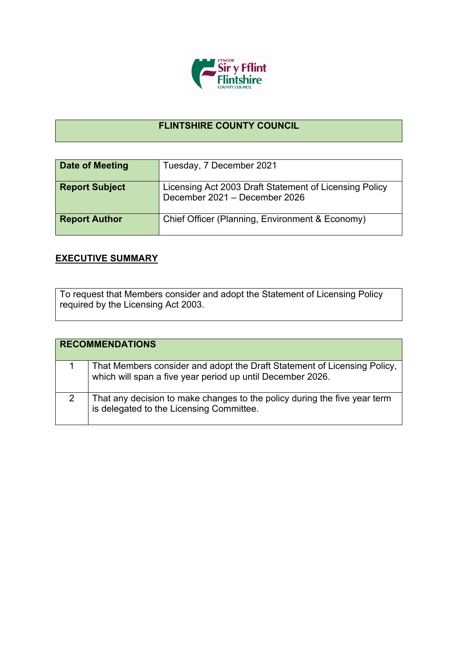

## **FLINTSHIRE COUNTY COUNCIL**

| Date of Meeting       | Tuesday, 7 December 2021                                                                |
|-----------------------|-----------------------------------------------------------------------------------------|
| <b>Report Subject</b> | Licensing Act 2003 Draft Statement of Licensing Policy<br>December 2021 - December 2026 |
| <b>Report Author</b>  | Chief Officer (Planning, Environment & Economy)                                         |

## **EXECUTIVE SUMMARY**

To request that Members consider and adopt the Statement of Licensing Policy required by the Licensing Act 2003.

| <b>RECOMMENDATIONS</b> |                                                                                                                                        |
|------------------------|----------------------------------------------------------------------------------------------------------------------------------------|
|                        | That Members consider and adopt the Draft Statement of Licensing Policy,<br>which will span a five year period up until December 2026. |
|                        | That any decision to make changes to the policy during the five year term<br>is delegated to the Licensing Committee.                  |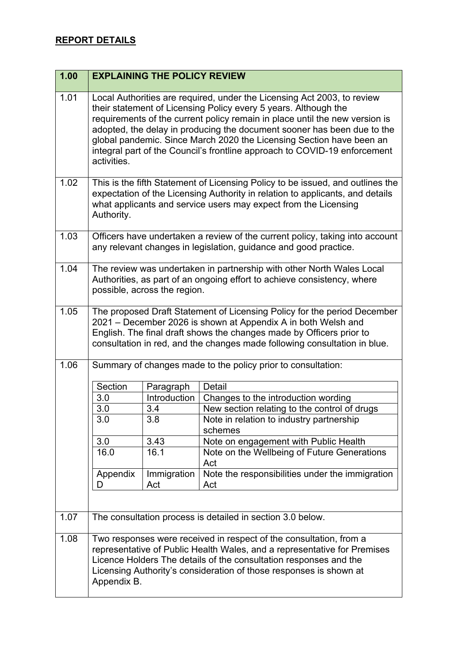| 1.00 |               | <b>EXPLAINING THE POLICY REVIEW</b> |                                                                                                                                                                                                                                                                                                                                                                                                                                                           |
|------|---------------|-------------------------------------|-----------------------------------------------------------------------------------------------------------------------------------------------------------------------------------------------------------------------------------------------------------------------------------------------------------------------------------------------------------------------------------------------------------------------------------------------------------|
| 1.01 | activities.   |                                     | Local Authorities are required, under the Licensing Act 2003, to review<br>their statement of Licensing Policy every 5 years. Although the<br>requirements of the current policy remain in place until the new version is<br>adopted, the delay in producing the document sooner has been due to the<br>global pandemic. Since March 2020 the Licensing Section have been an<br>integral part of the Council's frontline approach to COVID-19 enforcement |
| 1.02 | Authority.    |                                     | This is the fifth Statement of Licensing Policy to be issued, and outlines the<br>expectation of the Licensing Authority in relation to applicants, and details<br>what applicants and service users may expect from the Licensing                                                                                                                                                                                                                        |
| 1.03 |               |                                     | Officers have undertaken a review of the current policy, taking into account<br>any relevant changes in legislation, guidance and good practice.                                                                                                                                                                                                                                                                                                          |
| 1.04 |               | possible, across the region.        | The review was undertaken in partnership with other North Wales Local<br>Authorities, as part of an ongoing effort to achieve consistency, where                                                                                                                                                                                                                                                                                                          |
| 1.05 |               |                                     | The proposed Draft Statement of Licensing Policy for the period December<br>2021 – December 2026 is shown at Appendix A in both Welsh and<br>English. The final draft shows the changes made by Officers prior to<br>consultation in red, and the changes made following consultation in blue.                                                                                                                                                            |
| 1.06 |               |                                     | Summary of changes made to the policy prior to consultation:                                                                                                                                                                                                                                                                                                                                                                                              |
|      | Section       | Paragraph                           | Detail                                                                                                                                                                                                                                                                                                                                                                                                                                                    |
|      | 3.0           | Introduction                        | Changes to the introduction wording                                                                                                                                                                                                                                                                                                                                                                                                                       |
|      | 3.0           | 3.4                                 | New section relating to the control of drugs                                                                                                                                                                                                                                                                                                                                                                                                              |
|      | 3.0           | 3.8                                 | Note in relation to industry partnership<br>schemes                                                                                                                                                                                                                                                                                                                                                                                                       |
|      | 3.0           | 3.43                                | Note on engagement with Public Health                                                                                                                                                                                                                                                                                                                                                                                                                     |
|      | 16.0          | 16.1                                | Note on the Wellbeing of Future Generations<br>Act                                                                                                                                                                                                                                                                                                                                                                                                        |
|      | Appendix<br>D | Immigration<br>Act                  | Note the responsibilities under the immigration<br>Act                                                                                                                                                                                                                                                                                                                                                                                                    |
| 1.07 |               |                                     | The consultation process is detailed in section 3.0 below.                                                                                                                                                                                                                                                                                                                                                                                                |
| 1.08 | Appendix B.   |                                     | Two responses were received in respect of the consultation, from a<br>representative of Public Health Wales, and a representative for Premises<br>Licence Holders The details of the consultation responses and the<br>Licensing Authority's consideration of those responses is shown at                                                                                                                                                                 |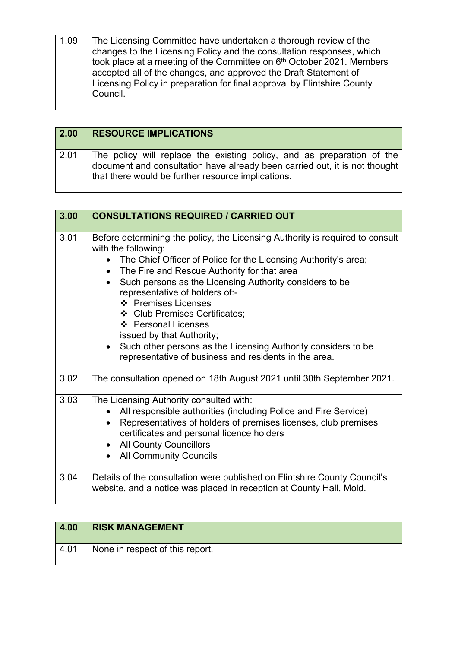| 1.09 | The Licensing Committee have undertaken a thorough review of the<br>changes to the Licensing Policy and the consultation responses, which<br>took place at a meeting of the Committee on 6th October 2021. Members<br>accepted all of the changes, and approved the Draft Statement of<br>Licensing Policy in preparation for final approval by Flintshire County<br>Council. |
|------|-------------------------------------------------------------------------------------------------------------------------------------------------------------------------------------------------------------------------------------------------------------------------------------------------------------------------------------------------------------------------------|
|------|-------------------------------------------------------------------------------------------------------------------------------------------------------------------------------------------------------------------------------------------------------------------------------------------------------------------------------------------------------------------------------|

| 2.00 | <b>RESOURCE IMPLICATIONS</b>                                                                                                                                                                               |
|------|------------------------------------------------------------------------------------------------------------------------------------------------------------------------------------------------------------|
| 2.01 | The policy will replace the existing policy, and as preparation of the<br>document and consultation have already been carried out, it is not thought<br>that there would be further resource implications. |

| 3.00 | <b>CONSULTATIONS REQUIRED / CARRIED OUT</b>                                                                                                                                                                                                                                                                                                                                                                                                                                                                                                                                             |
|------|-----------------------------------------------------------------------------------------------------------------------------------------------------------------------------------------------------------------------------------------------------------------------------------------------------------------------------------------------------------------------------------------------------------------------------------------------------------------------------------------------------------------------------------------------------------------------------------------|
| 3.01 | Before determining the policy, the Licensing Authority is required to consult<br>with the following:<br>• The Chief Officer of Police for the Licensing Authority's area;<br>The Fire and Rescue Authority for that area<br>$\bullet$<br>Such persons as the Licensing Authority considers to be<br>$\bullet$<br>representative of holders of:-<br>❖ Premises Licenses<br>❖ Club Premises Certificates;<br>❖ Personal Licenses<br>issued by that Authority;<br>• Such other persons as the Licensing Authority considers to be<br>representative of business and residents in the area. |
| 3.02 | The consultation opened on 18th August 2021 until 30th September 2021.                                                                                                                                                                                                                                                                                                                                                                                                                                                                                                                  |
| 3.03 | The Licensing Authority consulted with:<br>All responsible authorities (including Police and Fire Service)<br>$\bullet$<br>Representatives of holders of premises licenses, club premises<br>$\bullet$<br>certificates and personal licence holders<br>• All County Councillors<br><b>All Community Councils</b>                                                                                                                                                                                                                                                                        |
| 3.04 | Details of the consultation were published on Flintshire County Council's<br>website, and a notice was placed in reception at County Hall, Mold.                                                                                                                                                                                                                                                                                                                                                                                                                                        |

| 4.00 | <b>RISK MANAGEMENT</b>          |
|------|---------------------------------|
| 4.01 | None in respect of this report. |